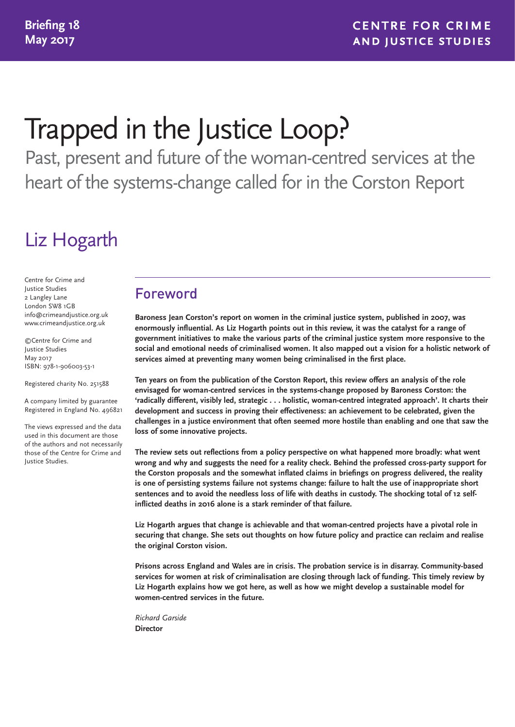# Trapped in the Justice Loop?

Past, present and future of the woman-centred services at the heart of the systems-change called for in the Corston Report

# Liz Hogarth

Centre for Crime and Justice Studies 2 Langley Lane London SW8 1GB info@crimeandjustice.org.uk www.crimeandjustice.org.uk

©Centre for Crime and Justice Studies May 2017 ISBN: 978-1-906003-53-1

Registered charity No. 251588

A company limited by guarantee Registered in England No. 496821

The views expressed and the data used in this document are those of the authors and not necessarily those of the Centre for Crime and Justice Studies.

## Foreword

**Baroness Jean Corston's report on women in the criminal justice system, published in 2007, was enormously influential. As Liz Hogarth points out in this review, it was the catalyst for a range of government initiatives to make the various parts of the criminal justice system more responsive to the social and emotional needs of criminalised women. It also mapped out a vision for a holistic network of services aimed at preventing many women being criminalised in the first place.**

**Ten years on from the publication of the Corston Report, this review offers an analysis of the role envisaged for woman-centred services in the systems-change proposed by Baroness Corston: the 'radically different, visibly led, strategic . . . holistic, woman-centred integrated approach'. It charts their development and success in proving their effectiveness: an achievement to be celebrated, given the challenges in a justice environment that often seemed more hostile than enabling and one that saw the loss of some innovative projects.**

**The review sets out reflections from a policy perspective on what happened more broadly: what went wrong and why and suggests the need for a reality check. Behind the professed cross-party support for the Corston proposals and the somewhat inflated claims in briefings on progress delivered, the reality is one of persisting systems failure not systems change: failure to halt the use of inappropriate short sentences and to avoid the needless loss of life with deaths in custody. The shocking total of 12 selfinflicted deaths in 2016 alone is a stark reminder of that failure.**

**Liz Hogarth argues that change is achievable and that woman-centred projects have a pivotal role in securing that change. She sets out thoughts on how future policy and practice can reclaim and realise the original Corston vision.**

**Prisons across England and Wales are in crisis. The probation service is in disarray. Community-based services for women at risk of criminalisation are closing through lack of funding. This timely review by Liz Hogarth explains how we got here, as well as how we might develop a sustainable model for women-centred services in the future.**

*Richard Garside* **Director**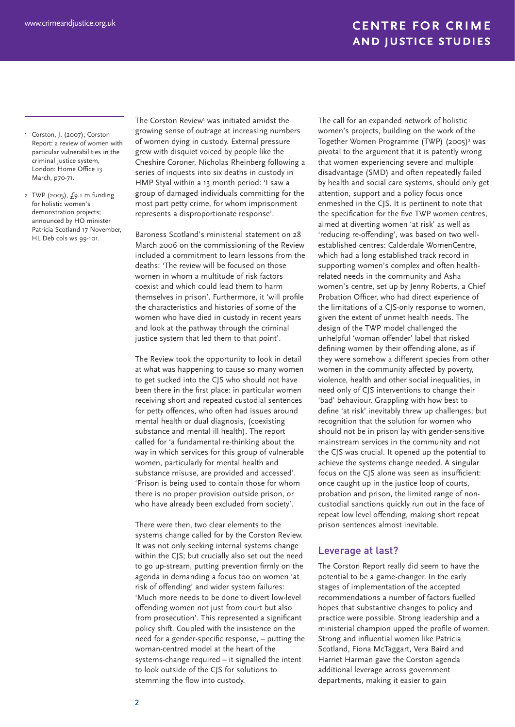- 1 Corston, J. (2007), Corston Report: a review of women with particular vulnerabilities in the criminal justice system, London: Home Office 13 March, p70-71.
- 2 TWP (2005), £9.1 m funding for holistic women's demonstration projects; announced by HO minister Patricia Scotland 17 November, HL Deb cols ws 99-101.

The Corston Review<sup>1</sup> was initiated amidst the growing sense of outrage at increasing numbers of women dying in custody. External pressure grew with disquiet voiced by people like the Cheshire Coroner, Nicholas Rheinberg following a series of inquests into six deaths in custody in HMP Styal within a 13 month period: 'I saw a group of damaged individuals committing for the most part petty crime, for whom imprisonment represents a disproportionate response'.

Baroness Scotland's ministerial statement on 28 March 2006 on the commissioning of the Review included a commitment to learn lessons from the deaths: 'The review will be focused on those women in whom a multitude of risk factors coexist and which could lead them to harm themselves in prison'. Furthermore, it 'will profile the characteristics and histories of some of the women who have died in custody in recent years and look at the pathway through the criminal justice system that led them to that point'.

The Review took the opportunity to look in detail at what was happening to cause so many women to get sucked into the CJS who should not have been there in the first place: in particular women receiving short and repeated custodial sentences for petty offences, who often had issues around mental health or dual diagnosis, (coexisting substance and mental ill health). The report called for 'a fundamental re-thinking about the way in which services for this group of vulnerable women, particularly for mental health and substance misuse, are provided and accessed'. 'Prison is being used to contain those for whom there is no proper provision outside prison, or who have already been excluded from society'.

There were then, two clear elements to the systems change called for by the Corston Review. It was not only seeking internal systems change within the CJS; but crucially also set out the need to go up-stream, putting prevention firmly on the agenda in demanding a focus too on women 'at risk of offending' and wider system failures: 'Much more needs to be done to divert low-level offending women not just from court but also from prosecution'. This represented a significant policy shift. Coupled with the insistence on the need for a gender-specific response, – putting the woman-centred model at the heart of the systems-change required – it signalled the intent to look outside of the CJS for solutions to stemming the flow into custody.

The call for an expanded network of holistic women's projects, building on the work of the Together Women Programme (TWP) (2005)<sup>2</sup> was pivotal to the argument that it is patently wrong that women experiencing severe and multiple disadvantage (SMD) and often repeatedly failed by health and social care systems, should only get attention, support and a policy focus once enmeshed in the CJS. It is pertinent to note that the specification for the five TWP women centres, aimed at diverting women 'at risk' as well as 'reducing re-offending', was based on two wellestablished centres: Calderdale WomenCentre, which had a long established track record in supporting women's complex and often healthrelated needs in the community and Asha women's centre, set up by Jenny Roberts, a Chief Probation Officer, who had direct experience of the limitations of a CJS-only response to women, given the extent of unmet health needs. The design of the TWP model challenged the unhelpful 'woman offender' label that risked defining women by their offending alone, as if they were somehow a different species from other women in the community affected by poverty, violence, health and other social inequalities, in need only of CJS interventions to change their 'bad' behaviour. Grappling with how best to define 'at risk' inevitably threw up challenges; but recognition that the solution for women who should not be in prison lay with gender-sensitive mainstream services in the community and not the CJS was crucial. It opened up the potential to achieve the systems change needed. A singular focus on the CJS alone was seen as insufficient: once caught up in the justice loop of courts, probation and prison, the limited range of noncustodial sanctions quickly run out in the face of repeat low level offending, making short repeat prison sentences almost inevitable.

#### Leverage at last?

The Corston Report really did seem to have the potential to be a game-changer. In the early stages of implementation of the accepted recommendations a number of factors fuelled hopes that substantive changes to policy and practice were possible. Strong leadership and a ministerial champion upped the profile of women. Strong and influential women like Patricia Scotland, Fiona McTaggart, Vera Baird and Harriet Harman gave the Corston agenda additional leverage across government departments, making it easier to gain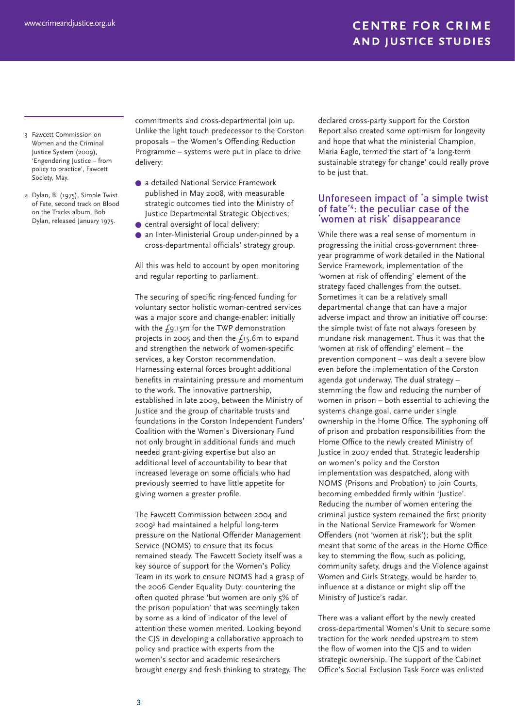- 3 Fawcett Commission on Women and the Criminal Justice System (2009), 'Engendering Justice – from policy to practice', Fawcett Society, May.
- 4 Dylan, B. (1975), Simple Twist of Fate, second track on Blood on the Tracks album, Bob Dylan, released January 1975.

commitments and cross-departmental join up. Unlike the light touch predecessor to the Corston proposals – the Women's Offending Reduction Programme – systems were put in place to drive delivery:

- a detailed National Service Framework published in May 2008, with measurable strategic outcomes tied into the Ministry of Justice Departmental Strategic Objectives;
- central oversight of local delivery;
- an Inter-Ministerial Group under-pinned by a cross-departmental officials' strategy group.

All this was held to account by open monitoring and regular reporting to parliament.

The securing of specific ring-fenced funding for voluntary sector holistic woman-centred services was a major score and change-enabler: initially with the £9.15m for the TWP demonstration projects in 2005 and then the £15.6m to expand and strengthen the network of women-specific services, a key Corston recommendation. Harnessing external forces brought additional benefits in maintaining pressure and momentum to the work. The innovative partnership, established in late 2009, between the Ministry of Justice and the group of charitable trusts and foundations in the Corston Independent Funders' Coalition with the Women's Diversionary Fund not only brought in additional funds and much needed grant-giving expertise but also an additional level of accountability to bear that increased leverage on some officials who had previously seemed to have little appetite for giving women a greater profile.

The Fawcett Commission between 2004 and 20093 had maintained a helpful long-term pressure on the National Offender Management Service (NOMS) to ensure that its focus remained steady. The Fawcett Society itself was a key source of support for the Women's Policy Team in its work to ensure NOMS had a grasp of the 2006 Gender Equality Duty: countering the often quoted phrase 'but women are only 5% of the prison population' that was seemingly taken by some as a kind of indicator of the level of attention these women merited. Looking beyond the CJS in developing a collaborative approach to policy and practice with experts from the women's sector and academic researchers brought energy and fresh thinking to strategy. The

declared cross-party support for the Corston Report also created some optimism for longevity and hope that what the ministerial Champion, Maria Eagle, termed the start of 'a long-term sustainable strategy for change' could really prove to be just that.

#### Unforeseen impact of 'a simple twist of fate'4: the peculiar case of the 'women at risk' disappearance

While there was a real sense of momentum in progressing the initial cross-government threeyear programme of work detailed in the National Service Framework, implementation of the 'women at risk of offending' element of the strategy faced challenges from the outset. Sometimes it can be a relatively small departmental change that can have a major adverse impact and throw an initiative off course: the simple twist of fate not always foreseen by mundane risk management. Thus it was that the 'women at risk of offending' element – the prevention component – was dealt a severe blow even before the implementation of the Corston agenda got underway. The dual strategy – stemming the flow and reducing the number of women in prison – both essential to achieving the systems change goal, came under single ownership in the Home Office. The syphoning off of prison and probation responsibilities from the Home Office to the newly created Ministry of Justice in 2007 ended that. Strategic leadership on women's policy and the Corston implementation was despatched, along with NOMS (Prisons and Probation) to join Courts, becoming embedded firmly within 'Justice'. Reducing the number of women entering the criminal justice system remained the first priority in the National Service Framework for Women Offenders (not 'women at risk'); but the split meant that some of the areas in the Home Office key to stemming the flow, such as policing, community safety, drugs and the Violence against Women and Girls Strategy, would be harder to influence at a distance or might slip off the Ministry of Justice's radar.

There was a valiant effort by the newly created cross-departmental Women's Unit to secure some traction for the work needed upstream to stem the flow of women into the CJS and to widen strategic ownership. The support of the Cabinet Office's Social Exclusion Task Force was enlisted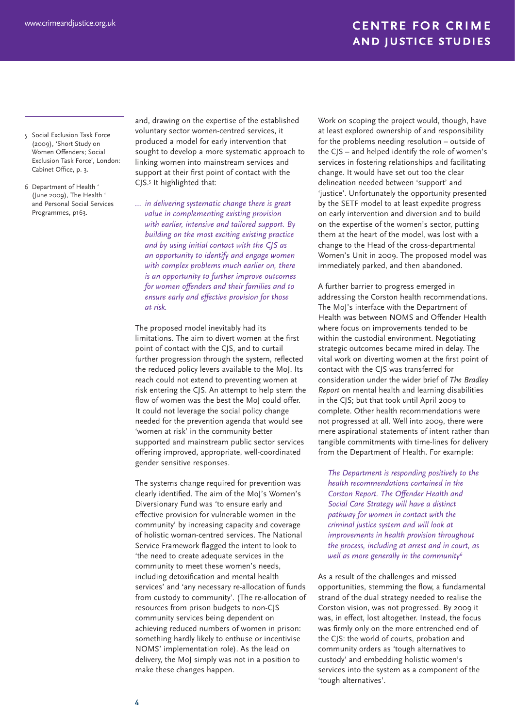- 5 Social Exclusion Task Force (2009), 'Short Study on Women Offenders; Social Exclusion Task Force', London: Cabinet Office, p. 3.
- 6 Department of Health ' (June 2009), The Health ' and Personal Social Services Programmes, p163.

and, drawing on the expertise of the established voluntary sector women-centred services, it produced a model for early intervention that sought to develop a more systematic approach to linking women into mainstream services and support at their first point of contact with the CJS.5 It highlighted that:

*… in delivering systematic change there is great value in complementing existing provision with earlier, intensive and tailored support. By building on the most exciting existing practice and by using initial contact with the CJS as an opportunity to identify and engage women with complex problems much earlier on, there is an opportunity to further improve outcomes for women offenders and their families and to ensure early and effective provision for those at risk.*

The proposed model inevitably had its limitations. The aim to divert women at the first point of contact with the CJS, and to curtail further progression through the system, reflected the reduced policy levers available to the MoJ. Its reach could not extend to preventing women at risk entering the CJS. An attempt to help stem the flow of women was the best the MoJ could offer. It could not leverage the social policy change needed for the prevention agenda that would see 'women at risk' in the community better supported and mainstream public sector services offering improved, appropriate, well-coordinated gender sensitive responses.

The systems change required for prevention was clearly identified. The aim of the MoJ's Women's Diversionary Fund was 'to ensure early and effective provision for vulnerable women in the community' by increasing capacity and coverage of holistic woman-centred services. The National Service Framework flagged the intent to look to 'the need to create adequate services in the community to meet these women's needs, including detoxification and mental health services' and 'any necessary re-allocation of funds from custody to community'. (The re-allocation of resources from prison budgets to non-CJS community services being dependent on achieving reduced numbers of women in prison: something hardly likely to enthuse or incentivise NOMS' implementation role). As the lead on delivery, the MoJ simply was not in a position to make these changes happen.

Work on scoping the project would, though, have at least explored ownership of and responsibility for the problems needing resolution – outside of the CJS – and helped identify the role of women's services in fostering relationships and facilitating change. It would have set out too the clear delineation needed between 'support' and 'justice'. Unfortunately the opportunity presented by the SETF model to at least expedite progress on early intervention and diversion and to build on the expertise of the women's sector, putting them at the heart of the model, was lost with a change to the Head of the cross-departmental Women's Unit in 2009. The proposed model was immediately parked, and then abandoned.

A further barrier to progress emerged in addressing the Corston health recommendations. The MoJ's interface with the Department of Health was between NOMS and Offender Health where focus on improvements tended to be within the custodial environment. Negotiating strategic outcomes became mired in delay. The vital work on diverting women at the first point of contact with the CJS was transferred for consideration under the wider brief of *The Bradley Report* on mental health and learning disabilities in the CJS; but that took until April 2009 to complete. Other health recommendations were not progressed at all. Well into 2009, there were mere aspirational statements of intent rather than tangible commitments with time-lines for delivery from the Department of Health. For example:

*The Department is responding positively to the health recommendations contained in the Corston Report. The Offender Health and Social Care Strategy will have a distinct pathway for women in contact with the criminal justice system and will look at improvements in health provision throughout the process, including at arrest and in court, as well as more generally in the community6*

As a result of the challenges and missed opportunities, stemming the flow, a fundamental strand of the dual strategy needed to realise the Corston vision, was not progressed. By 2009 it was, in effect, lost altogether. Instead, the focus was firmly only on the more entrenched end of the CJS: the world of courts, probation and community orders as 'tough alternatives to custody' and embedding holistic women's services into the system as a component of the 'tough alternatives'.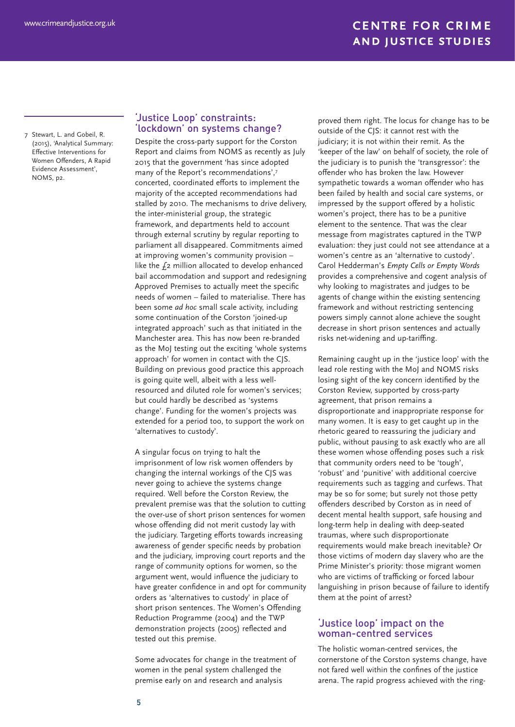7 Stewart, L. and Gobeil, R. (2015), 'Analytical Summary: Effective Interventions for Women Offenders, A Rapid Evidence Assessment', NOMS, p2.

#### 'Justice Loop' constraints: 'lockdown' on systems change?

Despite the cross-party support for the Corston Report and claims from NOMS as recently as July 2015 that the government 'has since adopted many of the Report's recommendations',7 concerted, coordinated efforts to implement the majority of the accepted recommendations had stalled by 2010. The mechanisms to drive delivery, the inter-ministerial group, the strategic framework, and departments held to account through external scrutiny by regular reporting to parliament all disappeared. Commitments aimed at improving women's community provision – like the  $f_2$  million allocated to develop enhanced bail accommodation and support and redesigning Approved Premises to actually meet the specific needs of women – failed to materialise. There has been some *ad hoc* small scale activity, including some continuation of the Corston 'joined-up integrated approach' such as that initiated in the Manchester area. This has now been re-branded as the MoJ testing out the exciting 'whole systems approach' for women in contact with the CJS. Building on previous good practice this approach is going quite well, albeit with a less wellresourced and diluted role for women's services; but could hardly be described as 'systems change'. Funding for the women's projects was extended for a period too, to support the work on 'alternatives to custody'.

A singular focus on trying to halt the imprisonment of low risk women offenders by changing the internal workings of the CJS was never going to achieve the systems change required. Well before the Corston Review, the prevalent premise was that the solution to cutting the over-use of short prison sentences for women whose offending did not merit custody lay with the judiciary. Targeting efforts towards increasing awareness of gender specific needs by probation and the judiciary, improving court reports and the range of community options for women, so the argument went, would influence the judiciary to have greater confidence in and opt for community orders as 'alternatives to custody' in place of short prison sentences. The Women's Offending Reduction Programme (2004) and the TWP demonstration projects (2005) reflected and tested out this premise.

Some advocates for change in the treatment of women in the penal system challenged the premise early on and research and analysis

proved them right. The locus for change has to be outside of the CJS: it cannot rest with the judiciary; it is not within their remit. As the 'keeper of the law' on behalf of society, the role of the judiciary is to punish the 'transgressor': the offender who has broken the law. However sympathetic towards a woman offender who has been failed by health and social care systems, or impressed by the support offered by a holistic women's project, there has to be a punitive element to the sentence. That was the clear message from magistrates captured in the TWP evaluation: they just could not see attendance at a women's centre as an 'alternative to custody'. Carol Hedderman's *Empty Cells or Empty Words* provides a comprehensive and cogent analysis of why looking to magistrates and judges to be agents of change within the existing sentencing framework and without restricting sentencing powers simply cannot alone achieve the sought decrease in short prison sentences and actually risks net-widening and up-tariffing.

Remaining caught up in the 'justice loop' with the lead role resting with the MoJ and NOMS risks losing sight of the key concern identified by the Corston Review, supported by cross-party agreement, that prison remains a disproportionate and inappropriate response for many women. It is easy to get caught up in the rhetoric geared to reassuring the judiciary and public, without pausing to ask exactly who are all these women whose offending poses such a risk that community orders need to be 'tough', 'robust' and 'punitive' with additional coercive requirements such as tagging and curfews. That may be so for some; but surely not those petty offenders described by Corston as in need of decent mental health support, safe housing and long-term help in dealing with deep-seated traumas, where such disproportionate requirements would make breach inevitable? Or those victims of modern day slavery who are the Prime Minister's priority: those migrant women who are victims of trafficking or forced labour languishing in prison because of failure to identify them at the point of arrest?

#### 'Justice loop' impact on the woman-centred services

The holistic woman-centred services, the cornerstone of the Corston systems change, have not fared well within the confines of the justice arena. The rapid progress achieved with the ring-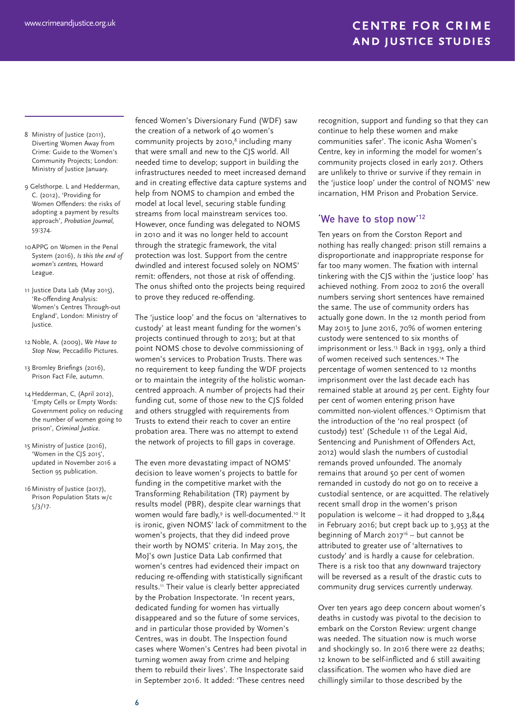- 8 Ministry of Justice (2011), Diverting Women Away from Crime: Guide to the Women's Community Projects; London: Ministry of Justice January.
- 9 Gelsthorpe. L and Hedderman, C. (2012), 'Providing for Women Offenders: the risks of adopting a payment by results approach', *Probation Journal,* 59:374.
- 10APPG on Women in the Penal System (2016), *Is this the end of women's centres,* Howard League.
- 11 Justice Data Lab (May 2015), 'Re-0ffending Analysis: Women's Centres Through-out England', London: Ministry of Justice.
- 12 Noble, A. (2009), *We Have to Stop Now,* Peccadillo Pictures.
- 13 Bromley Briefings (2016), Prison Fact File, autumn.
- 14 Hedderman, C, (April 2012), 'Empty Cells or Empty Words: Government policy on reducing the number of women going to prison', *Criminal Justice.*
- 15 Ministry of Justice (2016), 'Women in the CJS 2015', updated in November 2016 a Section 95 publication.
- 16 Ministry of Justice (2017), Prison Population Stats w/c 5/3/17.

fenced Women's Diversionary Fund (WDF) saw the creation of a network of 40 women's community projects by 2010,<sup>8</sup> including many that were small and new to the CJS world. All needed time to develop; support in building the infrastructures needed to meet increased demand and in creating effective data capture systems and help from NOMS to champion and embed the model at local level, securing stable funding streams from local mainstream services too. However, once funding was delegated to NOMS in 2010 and it was no longer held to account through the strategic framework, the vital protection was lost. Support from the centre dwindled and interest focused solely on NOMS' remit: offenders, not those at risk of offending. The onus shifted onto the projects being required to prove they reduced re-offending.

The 'justice loop' and the focus on 'alternatives to custody' at least meant funding for the women's projects continued through to 2013; but at that point NOMS chose to devolve commissioning of women's services to Probation Trusts. There was no requirement to keep funding the WDF projects or to maintain the integrity of the holistic womancentred approach. A number of projects had their funding cut, some of those new to the CJS folded and others struggled with requirements from Trusts to extend their reach to cover an entire probation area. There was no attempt to extend the network of projects to fill gaps in coverage.

The even more devastating impact of NOMS' decision to leave women's projects to battle for funding in the competitive market with the Transforming Rehabilitation (TR) payment by results model (PBR), despite clear warnings that women would fare badly,<sup>9</sup> is well-documented.<sup>10</sup> It is ironic, given NOMS' lack of commitment to the women's projects, that they did indeed prove their worth by NOMS' criteria. In May 2015, the MoJ's own Justice Data Lab confirmed that women's centres had evidenced their impact on reducing re-offending with statistically significant results.11 Their value is clearly better appreciated by the Probation Inspectorate. 'In recent years, dedicated funding for women has virtually disappeared and so the future of some services, and in particular those provided by Women's Centres, was in doubt. The Inspection found cases where Women's Centres had been pivotal in turning women away from crime and helping them to rebuild their lives'. The Inspectorate said in September 2016. It added: 'These centres need

recognition, support and funding so that they can continue to help these women and make communities safer'. The iconic Asha Women's Centre, key in informing the model for women's community projects closed in early 2017. Others are unlikely to thrive or survive if they remain in the 'justice loop' under the control of NOMS' new incarnation, HM Prison and Probation Service.

#### 'We have to stop now'12

Ten years on from the Corston Report and nothing has really changed: prison still remains a disproportionate and inappropriate response for far too many women. The fixation with internal tinkering with the CJS within the 'justice loop' has achieved nothing. From 2002 to 2016 the overall numbers serving short sentences have remained the same. The use of community orders has actually gone down. In the 12 month period from May 2015 to June 2016, 70% of women entering custody were sentenced to six months of imprisonment or less.13 Back in 1993, only a third of women received such sentences.14 The percentage of women sentenced to 12 months imprisonment over the last decade each has remained stable at around 25 per cent. Eighty four per cent of women entering prison have committed non-violent offences.15 Optimism that the introduction of the 'no real prospect (of custody) test' (Schedule 11 of the Legal Aid, Sentencing and Punishment of Offenders Act, 2012) would slash the numbers of custodial remands proved unfounded. The anomaly remains that around 50 per cent of women remanded in custody do not go on to receive a custodial sentence, or are acquitted. The relatively recent small drop in the women's prison population is welcome – it had dropped to 3,844 in February 2016; but crept back up to 3,953 at the beginning of March 2017<sup>16</sup> – but cannot be attributed to greater use of 'alternatives to custody' and is hardly a cause for celebration. There is a risk too that any downward trajectory will be reversed as a result of the drastic cuts to community drug services currently underway.

Over ten years ago deep concern about women's deaths in custody was pivotal to the decision to embark on the Corston Review: urgent change was needed. The situation now is much worse and shockingly so. In 2016 there were 22 deaths; 12 known to be self-inflicted and 6 still awaiting classification. The women who have died are chillingly similar to those described by the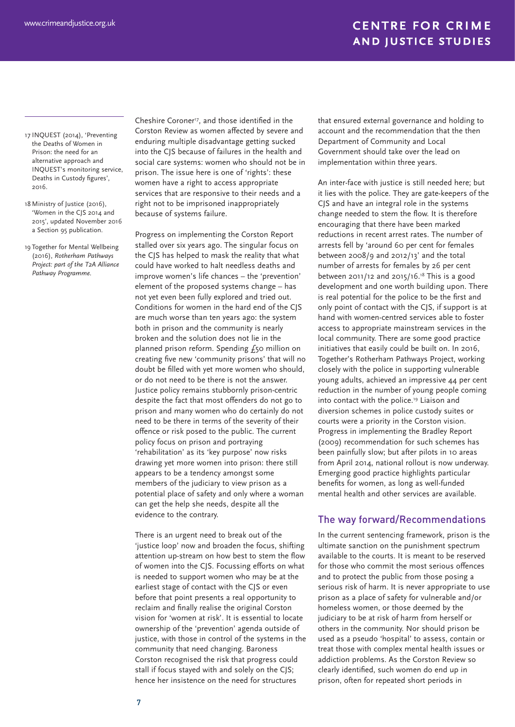- 17 INQUEST (2014), 'Preventing the Deaths of Women in Prison: the need for an alternative approach and INQUEST's monitoring service, Deaths in Custody figures', 2016.
- 18 Ministry of Justice (2016), 'Women in the CJS 2014 and 2015', updated November 2016 a Section 95 publication.
- 19 Together for Mental Wellbeing (2016), *Rotherham Pathways Project: part of the T2A Alliance Pathway Programme.*

Cheshire Coroner17, and those identified in the Corston Review as women affected by severe and enduring multiple disadvantage getting sucked into the CJS because of failures in the health and social care systems: women who should not be in prison. The issue here is one of 'rights': these women have a right to access appropriate services that are responsive to their needs and a right not to be imprisoned inappropriately because of systems failure.

Progress on implementing the Corston Report stalled over six years ago. The singular focus on the CJS has helped to mask the reality that what could have worked to halt needless deaths and improve women's life chances – the 'prevention' element of the proposed systems change – has not yet even been fully explored and tried out. Conditions for women in the hard end of the CJS are much worse than ten years ago: the system both in prison and the community is nearly broken and the solution does not lie in the planned prison reform. Spending  $f$ <sub>50</sub> million on creating five new 'community prisons' that will no doubt be filled with yet more women who should, or do not need to be there is not the answer. Justice policy remains stubbornly prison-centric despite the fact that most offenders do not go to prison and many women who do certainly do not need to be there in terms of the severity of their offence or risk posed to the public. The current policy focus on prison and portraying 'rehabilitation' as its 'key purpose' now risks drawing yet more women into prison: there still appears to be a tendency amongst some members of the judiciary to view prison as a potential place of safety and only where a woman can get the help she needs, despite all the evidence to the contrary.

There is an urgent need to break out of the 'justice loop' now and broaden the focus, shifting attention up-stream on how best to stem the flow of women into the CJS. Focussing efforts on what is needed to support women who may be at the earliest stage of contact with the CJS or even before that point presents a real opportunity to reclaim and finally realise the original Corston vision for 'women at risk'. It is essential to locate ownership of the 'prevention' agenda outside of justice, with those in control of the systems in the community that need changing. Baroness Corston recognised the risk that progress could stall if focus stayed with and solely on the CJS; hence her insistence on the need for structures

that ensured external governance and holding to account and the recommendation that the then Department of Community and Local Government should take over the lead on implementation within three years.

An inter-face with justice is still needed here; but it lies with the police. They are gate-keepers of the CJS and have an integral role in the systems change needed to stem the flow. It is therefore encouraging that there have been marked reductions in recent arrest rates. The number of arrests fell by 'around 60 per cent for females between 2008/9 and 2012/13' and the total number of arrests for females by 26 per cent between 2011/12 and 2015/16.18 This is a good development and one worth building upon. There is real potential for the police to be the first and only point of contact with the CJS, if support is at hand with women-centred services able to foster access to appropriate mainstream services in the local community. There are some good practice initiatives that easily could be built on. In 2016, Together's Rotherham Pathways Project, working closely with the police in supporting vulnerable young adults, achieved an impressive 44 per cent reduction in the number of young people coming into contact with the police.<sup>19</sup> Liaison and diversion schemes in police custody suites or courts were a priority in the Corston vision. Progress in implementing the Bradley Report (2009) recommendation for such schemes has been painfully slow; but after pilots in 10 areas from April 2014, national rollout is now underway. Emerging good practice highlights particular benefits for women, as long as well-funded mental health and other services are available.

#### The way forward/Recommendations

In the current sentencing framework, prison is the ultimate sanction on the punishment spectrum available to the courts. It is meant to be reserved for those who commit the most serious offences and to protect the public from those posing a serious risk of harm. It is never appropriate to use prison as a place of safety for vulnerable and/or homeless women, or those deemed by the judiciary to be at risk of harm from herself or others in the community. Nor should prison be used as a pseudo 'hospital' to assess, contain or treat those with complex mental health issues or addiction problems. As the Corston Review so clearly identified, such women do end up in prison, often for repeated short periods in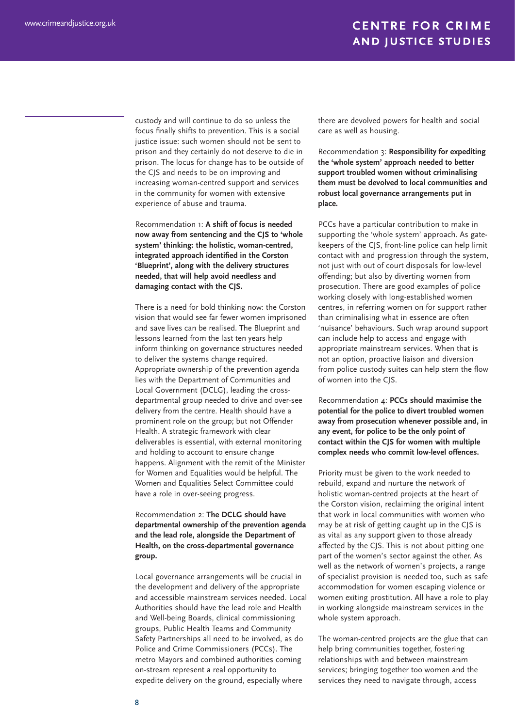custody and will continue to do so unless the focus finally shifts to prevention. This is a social justice issue: such women should not be sent to prison and they certainly do not deserve to die in prison. The locus for change has to be outside of the CJS and needs to be on improving and increasing woman-centred support and services in the community for women with extensive experience of abuse and trauma.

Recommendation 1: **A shift of focus is needed now away from sentencing and the CJS to 'whole system' thinking: the holistic, woman-centred, integrated approach identified in the Corston 'Blueprint', along with the delivery structures needed, that will help avoid needless and damaging contact with the CJS.**

There is a need for bold thinking now: the Corston vision that would see far fewer women imprisoned and save lives can be realised. The Blueprint and lessons learned from the last ten years help inform thinking on governance structures needed to deliver the systems change required. Appropriate ownership of the prevention agenda lies with the Department of Communities and Local Government (DCLG), leading the crossdepartmental group needed to drive and over-see delivery from the centre. Health should have a prominent role on the group; but not Offender Health. A strategic framework with clear deliverables is essential, with external monitoring and holding to account to ensure change happens. Alignment with the remit of the Minister for Women and Equalities would be helpful. The Women and Equalities Select Committee could have a role in over-seeing progress.

#### Recommendation 2: **The DCLG should have departmental ownership of the prevention agenda and the lead role, alongside the Department of Health, on the cross-departmental governance group.**

Local governance arrangements will be crucial in the development and delivery of the appropriate and accessible mainstream services needed. Local Authorities should have the lead role and Health and Well-being Boards, clinical commissioning groups, Public Health Teams and Community Safety Partnerships all need to be involved, as do Police and Crime Commissioners (PCCs). The metro Mayors and combined authorities coming on-stream represent a real opportunity to expedite delivery on the ground, especially where

there are devolved powers for health and social care as well as housing.

Recommendation 3: **Responsibility for expediting the 'whole system' approach needed to better support troubled women without criminalising them must be devolved to local communities and robust local governance arrangements put in place.**

PCCs have a particular contribution to make in supporting the 'whole system' approach. As gatekeepers of the CJS, front-line police can help limit contact with and progression through the system, not just with out of court disposals for low-level offending; but also by diverting women from prosecution. There are good examples of police working closely with long-established women centres, in referring women on for support rather than criminalising what in essence are often 'nuisance' behaviours. Such wrap around support can include help to access and engage with appropriate mainstream services. When that is not an option, proactive liaison and diversion from police custody suites can help stem the flow of women into the CJS.

Recommendation 4: **PCCs should maximise the potential for the police to divert troubled women away from prosecution whenever possible and, in any event, for police to be the only point of contact within the CJS for women with multiple complex needs who commit low-level offences.** 

Priority must be given to the work needed to rebuild, expand and nurture the network of holistic woman-centred projects at the heart of the Corston vision, reclaiming the original intent that work in local communities with women who may be at risk of getting caught up in the CJS is as vital as any support given to those already affected by the CJS. This is not about pitting one part of the women's sector against the other. As well as the network of women's projects, a range of specialist provision is needed too, such as safe accommodation for women escaping violence or women exiting prostitution. All have a role to play in working alongside mainstream services in the whole system approach.

The woman-centred projects are the glue that can help bring communities together, fostering relationships with and between mainstream services; bringing together too women and the services they need to navigate through, access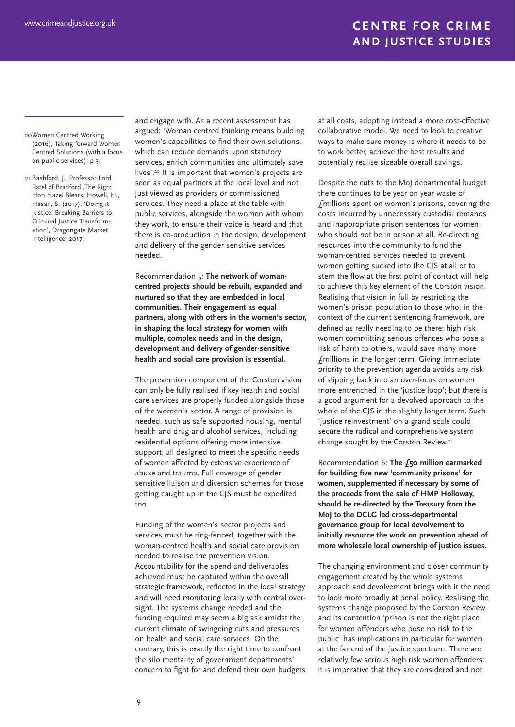20Women Centred Working (2016), Taking forward Women Centred Solutions (with a focus on public services); p 3.

21 Bashford, J., Professor Lord Patel of Bradford.,The Right Hon Hazel Blears, Howell, H., Hasan, S. (2017), 'Doing it Justice: Breaking Barriers to Criminal Justice Transformation', Dragongate Market Intelligence, 2017.

and engage with. As a recent assessment has argued: 'Woman centred thinking means building women's capabilities to find their own solutions, which can reduce demands upon statutory services, enrich communities and ultimately save lives'.20 It is important that women's projects are seen as equal partners at the local level and not just viewed as providers or commissioned services. They need a place at the table with public services, alongside the women with whom they work, to ensure their voice is heard and that there is co-production in the design, development and delivery of the gender sensitive services needed.

Recommendation 5: **The network of womancentred projects should be rebuilt, expanded and nurtured so that they are embedded in local communities. Their engagement as equal partners, along with others in the women's sector, in shaping the local strategy for women with multiple, complex needs and in the design, development and delivery of gender-sensitive health and social care provision is essential.**

The prevention component of the Corston vision can only be fully realised if key health and social care services are properly funded alongside those of the women's sector. A range of provision is needed, such as safe supported housing, mental health and drug and alcohol services, including residential options offering more intensive support; all designed to meet the specific needs of women affected by extensive experience of abuse and trauma. Full coverage of gender sensitive liaison and diversion schemes for those getting caught up in the CJS must be expedited too.

Funding of the women's sector projects and services must be ring-fenced, together with the woman-centred health and social care provision needed to realise the prevention vision. Accountability for the spend and deliverables achieved must be captured within the overall strategic framework, reflected in the local strategy and will need monitoring locally with central oversight. The systems change needed and the funding required may seem a big ask amidst the current climate of swingeing cuts and pressures on health and social care services. On the contrary, this is exactly the right time to confront the silo mentality of government departments' concern to fight for and defend their own budgets

at all costs, adopting instead a more cost-effective collaborative model. We need to look to creative ways to make sure money is where it needs to be to work better, achieve the best results and potentially realise sizeable overall savings.

Despite the cuts to the MoJ departmental budget there continues to be year on year waste of £millions spent on women's prisons, covering the costs incurred by unnecessary custodial remands and inappropriate prison sentences for women who should not be in prison at all. Re-directing resources into the community to fund the woman-centred services needed to prevent women getting sucked into the CJS at all or to stem the flow at the first point of contact will help to achieve this key element of the Corston vision. Realising that vision in full by restricting the women's prison population to those who, in the context of the current sentencing framework, are defined as really needing to be there: high risk women committing serious offences who pose a risk of harm to others, would save many more £millions in the longer term. Giving immediate priority to the prevention agenda avoids any risk of slipping back into an over-focus on women more entrenched in the 'justice loop'; but there is a good argument for a devolved approach to the whole of the CJS in the slightly longer term. Such 'justice reinvestment' on a grand scale could secure the radical and comprehensive system change sought by the Corston Review.<sup>21</sup>

Recommendation 6: **The £50 million earmarked for building five new 'community prisons' for women, supplemented if necessary by some of the proceeds from the sale of HMP Holloway, should be re-directed by the Treasury from the MoJ to the DCLG led cross-departmental governance group for local devolvement to initially resource the work on prevention ahead of more wholesale local ownership of justice issues.**

The changing environment and closer community engagement created by the whole systems approach and devolvement brings with it the need to look more broadly at penal policy. Realising the systems change proposed by the Corston Review and its contention 'prison is not the right place for women offenders who pose no risk to the public' has implications in particular for women at the far end of the justice spectrum. There are relatively few serious high risk women offenders: it is imperative that they are considered and not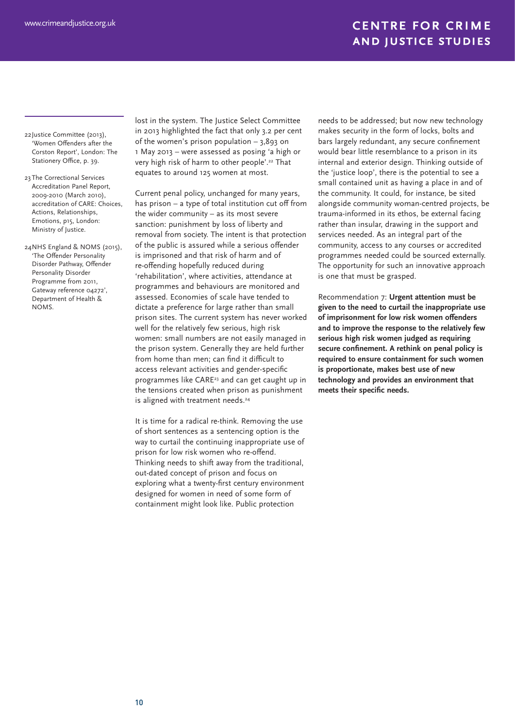22Justice Committee (2013), 'Women Offenders after the Corston Report', London: The Stationery Office, p. 39.

- 23 The Correctional Services Accreditation Panel Report, 2009-2010 (March 2010), accreditation of CARE: Choices, Actions, Relationships, Emotions, p15, London: Ministry of Justice.
- 24NHS England & NOMS (2015), 'The Offender Personality Disorder Pathway, Offender Personality Disorder Programme from 2011, Gateway reference 04272', Department of Health & NOMS.

lost in the system. The Justice Select Committee in 2013 highlighted the fact that only 3.2 per cent of the women's prison population – 3,893 on 1 May 2013 – were assessed as posing 'a high or very high risk of harm to other people'.22 That equates to around 125 women at most.

Current penal policy, unchanged for many years, has prison – a type of total institution cut off from the wider community – as its most severe sanction: punishment by loss of liberty and removal from society. The intent is that protection of the public is assured while a serious offender is imprisoned and that risk of harm and of re-offending hopefully reduced during 'rehabilitation', where activities, attendance at programmes and behaviours are monitored and assessed. Economies of scale have tended to dictate a preference for large rather than small prison sites. The current system has never worked well for the relatively few serious, high risk women: small numbers are not easily managed in the prison system. Generally they are held further from home than men; can find it difficult to access relevant activities and gender-specific programmes like CARE23 and can get caught up in the tensions created when prison as punishment is aligned with treatment needs.<sup>24</sup>

It is time for a radical re-think. Removing the use of short sentences as a sentencing option is the way to curtail the continuing inappropriate use of prison for low risk women who re-offend. Thinking needs to shift away from the traditional, out-dated concept of prison and focus on exploring what a twenty-first century environment designed for women in need of some form of containment might look like. Public protection

needs to be addressed; but now new technology makes security in the form of locks, bolts and bars largely redundant, any secure confinement would bear little resemblance to a prison in its internal and exterior design. Thinking outside of the 'justice loop', there is the potential to see a small contained unit as having a place in and of the community. It could, for instance, be sited alongside community woman-centred projects, be trauma-informed in its ethos, be external facing rather than insular, drawing in the support and services needed. As an integral part of the community, access to any courses or accredited programmes needed could be sourced externally. The opportunity for such an innovative approach is one that must be grasped.

Recommendation 7: **Urgent attention must be given to the need to curtail the inappropriate use of imprisonment for low risk women offenders and to improve the response to the relatively few serious high risk women judged as requiring secure confinement. A rethink on penal policy is required to ensure containment for such women is proportionate, makes best use of new technology and provides an environment that meets their specific needs.**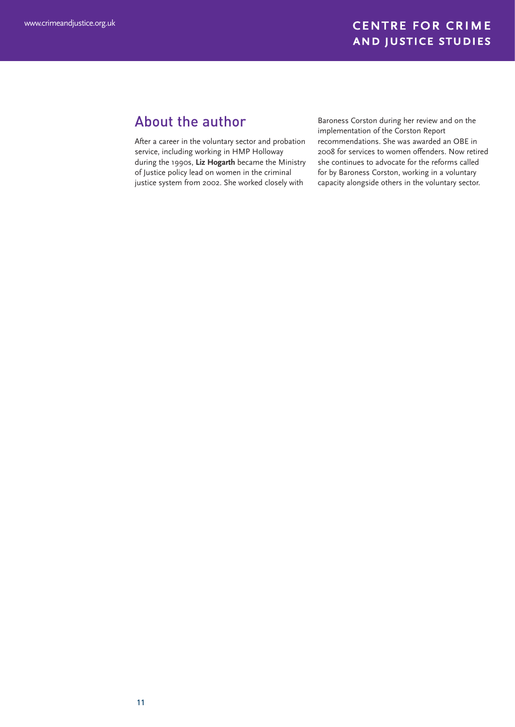# About the author

After a career in the voluntary sector and probation service, including working in HMP Holloway during the 1990s, **Liz Hogarth** became the Ministry of Justice policy lead on women in the criminal justice system from 2002. She worked closely with

Baroness Corston during her review and on the implementation of the Corston Report recommendations. She was awarded an OBE in 2008 for services to women offenders. Now retired she continues to advocate for the reforms called for by Baroness Corston, working in a voluntary capacity alongside others in the voluntary sector.